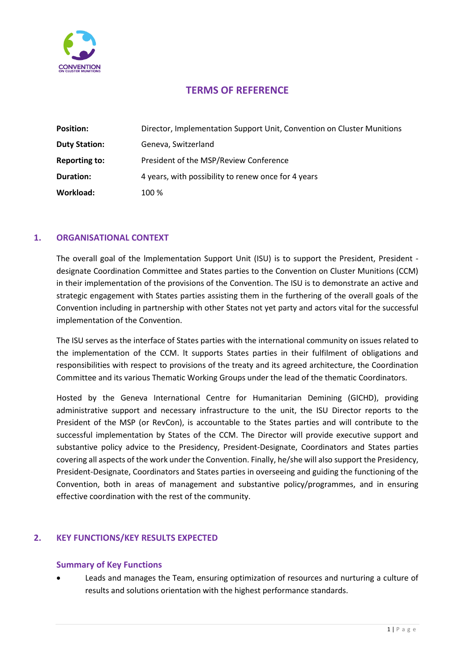

# **TERMS OF REFERENCE**

| <b>Position:</b>     | Director, Implementation Support Unit, Convention on Cluster Munitions |
|----------------------|------------------------------------------------------------------------|
| <b>Duty Station:</b> | Geneva, Switzerland                                                    |
| Reporting to:        | President of the MSP/Review Conference                                 |
| Duration:            | 4 years, with possibility to renew once for 4 years                    |
| Workload:            | 100 %                                                                  |

### **1. ORGANISATIONAL CONTEXT**

The overall goal of the lmplementation Support Unit (ISU) is to support the President, President designate Coordination Committee and States parties to the Convention on Cluster Munitions (CCM) in their implementation of the provisions of the Convention. The ISU is to demonstrate an active and strategic engagement with States parties assisting them in the furthering of the overall goals of the Convention including in partnership with other States not yet party and actors vital for the successful implementation of the Convention.

The ISU serves as the interface of States parties with the international community on issues related to the implementation of the CCM. lt supports States parties in their fulfilment of obligations and responsibilities with respect to provisions of the treaty and its agreed architecture, the Coordination Committee and its various Thematic Working Groups under the lead of the thematic Coordinators.

Hosted by the Geneva International Centre for Humanitarian Demining (GICHD), providing administrative support and necessary infrastructure to the unit, the ISU Director reports to the President of the MSP (or RevCon), is accountable to the States parties and will contribute to the successful implementation by States of the CCM. The Director will provide executive support and substantive policy advice to the Presidency, President-Designate, Coordinators and States parties covering all aspects of the work under the Convention. Finally, he/she will also support the Presidency, President-Designate, Coordinators and States parties in overseeing and guiding the functioning of the Convention, both in areas of management and substantive policy/programmes, and in ensuring effective coordination with the rest of the community.

### **2. KEY FUNCTIONS/KEY RESULTS EXPECTED**

### **Summary of Key Functions**

• Leads and manages the Team, ensuring optimization of resources and nurturing a culture of results and solutions orientation with the highest performance standards.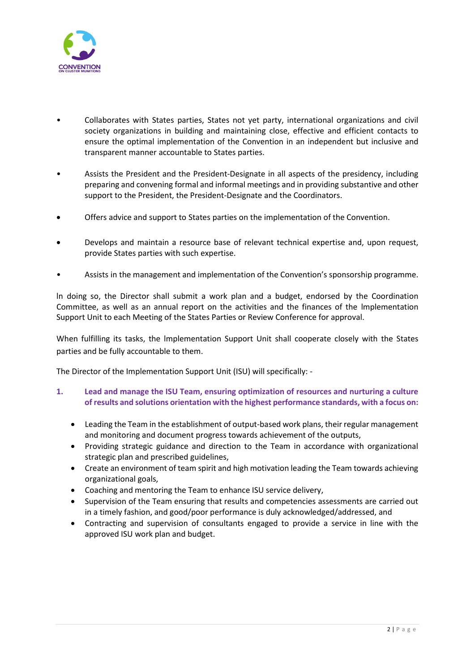

- Collaborates with States parties, States not yet party, international organizations and civil society organizations in building and maintaining close, effective and efficient contacts to ensure the optimal implementation of the Convention in an independent but inclusive and transparent manner accountable to States parties.
- Assists the President and the President-Designate in all aspects of the presidency, including preparing and convening formal and informal meetings and in providing substantive and other support to the President, the President-Designate and the Coordinators.
- Offers advice and support to States parties on the implementation of the Convention.
- Develops and maintain a resource base of relevant technical expertise and, upon request, provide States parties with such expertise.
- Assists in the management and implementation of the Convention's sponsorship programme.

ln doing so, the Director shall submit a work plan and a budget, endorsed by the Coordination Committee, as well as an annual report on the activities and the finances of the lmplementation Support Unit to each Meeting of the States Parties or Review Conference for approval.

When fulfilling its tasks, the lmplementation Support Unit shall cooperate closely with the States parties and be fully accountable to them.

The Director of the Implementation Support Unit (ISU) will specifically: -

- **1. Lead and manage the ISU Team, ensuring optimization of resources and nurturing a culture of results and solutions orientation with the highest performance standards, with a focus on:**
	- Leading the Team in the establishment of output-based work plans, their regular management and monitoring and document progress towards achievement of the outputs,
	- Providing strategic guidance and direction to the Team in accordance with organizational strategic plan and prescribed guidelines,
	- Create an environment of team spirit and high motivation leading the Team towards achieving organizational goals,
	- Coaching and mentoring the Team to enhance ISU service delivery,
	- Supervision of the Team ensuring that results and competencies assessments are carried out in a timely fashion, and good/poor performance is duly acknowledged/addressed, and
	- Contracting and supervision of consultants engaged to provide a service in line with the approved ISU work plan and budget.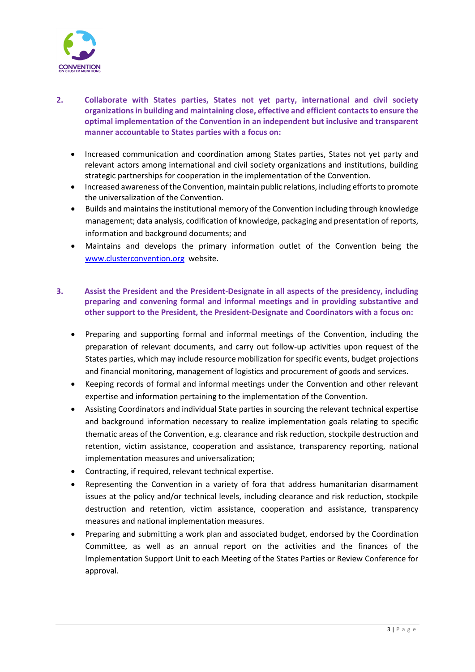

- **2. Collaborate with States parties, States not yet party, international and civil society organizations in building and maintaining close, effective and efficient contactsto ensure the optimal implementation of the Convention in an independent but inclusive and transparent manner accountable to States parties with a focus on:**
	- Increased communication and coordination among States parties, States not yet party and relevant actors among international and civil society organizations and institutions, building strategic partnerships for cooperation in the implementation of the Convention.
	- Increased awareness of the Convention, maintain public relations, including efforts to promote the universalization of the Convention.
	- Builds and maintains the institutional memory of the Convention including through knowledge management; data analysis, codification of knowledge, packaging and presentation of reports, information and background documents; and
	- Maintains and develops the primary information outlet of the Convention being the [www.clusterconvention.org](http://www.clusterconvention.org/) website.

# **3. Assist the President and the President-Designate in all aspects of the presidency, including preparing and convening formal and informal meetings and in providing substantive and other support to the President, the President-Designate and Coordinators with a focus on:**

- Preparing and supporting formal and informal meetings of the Convention, including the preparation of relevant documents, and carry out follow-up activities upon request of the States parties, which may include resource mobilization for specific events, budget projections and financial monitoring, management of logistics and procurement of goods and services.
- Keeping records of formal and informal meetings under the Convention and other relevant expertise and information pertaining to the implementation of the Convention.
- Assisting Coordinators and individual State parties in sourcing the relevant technical expertise and background information necessary to realize implementation goals relating to specific thematic areas of the Convention, e.g. clearance and risk reduction, stockpile destruction and retention, victim assistance, cooperation and assistance, transparency reporting, national implementation measures and universalization;
- Contracting, if required, relevant technical expertise.
- Representing the Convention in a variety of fora that address humanitarian disarmament issues at the policy and/or technical levels, including clearance and risk reduction, stockpile destruction and retention, victim assistance, cooperation and assistance, transparency measures and national implementation measures.
- Preparing and submitting a work plan and associated budget, endorsed by the Coordination Committee, as well as an annual report on the activities and the finances of the lmplementation Support Unit to each Meeting of the States Parties or Review Conference for approval.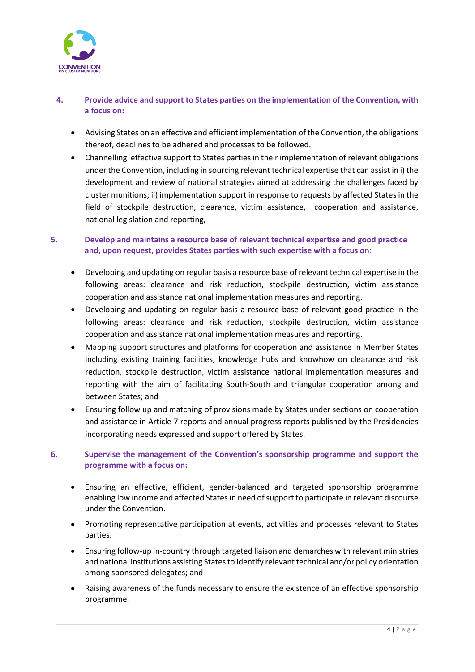

# **4. Provide advice and support to States parties on the implementation of the Convention, with a focus on:**

- Advising States on an effective and efficient implementation of the Convention, the obligations thereof, deadlines to be adhered and processes to be followed.
- Channelling effective support to States parties in their implementation of relevant obligations under the Convention, including in sourcing relevant technical expertise that can assist in i) the development and review of national strategies aimed at addressing the challenges faced by cluster munitions; ii) implementation support in response to requests by affected States in the field of stockpile destruction, clearance, victim assistance, cooperation and assistance, national legislation and reporting,

# **5. Develop and maintains a resource base of relevant technical expertise and good practice and, upon request, provides States parties with such expertise with a focus on:**

- Developing and updating on regular basis a resource base of relevant technical expertise in the following areas: clearance and risk reduction, stockpile destruction, victim assistance cooperation and assistance national implementation measures and reporting.
- Developing and updating on regular basis a resource base of relevant good practice in the following areas: clearance and risk reduction, stockpile destruction, victim assistance cooperation and assistance national implementation measures and reporting.
- Mapping support structures and platforms for cooperation and assistance in Member States including existing training facilities, knowledge hubs and knowhow on clearance and risk reduction, stockpile destruction, victim assistance national implementation measures and reporting with the aim of facilitating South-South and triangular cooperation among and between States; and
- Ensuring follow up and matching of provisions made by States under sections on cooperation and assistance in Article 7 reports and annual progress reports published by the Presidencies incorporating needs expressed and support offered by States.

# **6. Supervise the management of the Convention's sponsorship programme and support the programme with a focus on:**

- Ensuring an effective, efficient, gender-balanced and targeted sponsorship programme enabling low income and affected Statesin need of support to participate in relevant discourse under the Convention.
- Promoting representative participation at events, activities and processes relevant to States parties.
- Ensuring follow-up in-country through targeted liaison and demarches with relevant ministries and national institutions assisting Statesto identify relevant technical and/or policy orientation among sponsored delegates; and
- Raising awareness of the funds necessary to ensure the existence of an effective sponsorship programme.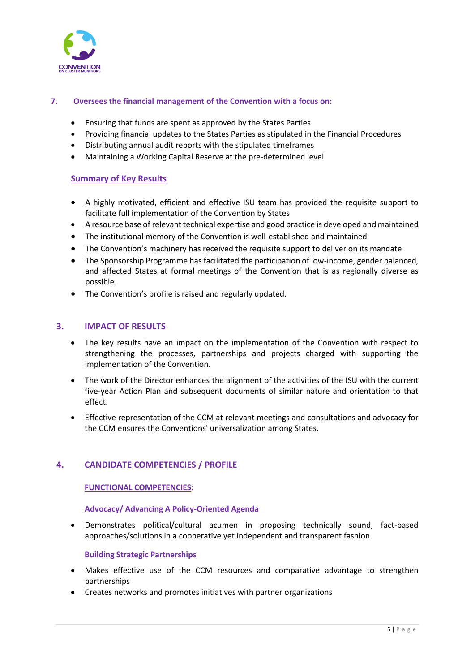

### **7. Oversees the financial management of the Convention with a focus on:**

- Ensuring that funds are spent as approved by the States Parties
- Providing financial updates to the States Parties as stipulated in the Financial Procedures
- Distributing annual audit reports with the stipulated timeframes
- Maintaining a Working Capital Reserve at the pre-determined level.

### **Summary of Key Results**

- A highly motivated, efficient and effective ISU team has provided the requisite support to facilitate full implementation of the Convention by States
- A resource base of relevant technical expertise and good practice is developed and maintained
- The institutional memory of the Convention is well-established and maintained
- The Convention's machinery has received the requisite support to deliver on its mandate
- The Sponsorship Programme has facilitated the participation of low-income, gender balanced, and affected States at formal meetings of the Convention that is as regionally diverse as possible.
- The Convention's profile is raised and regularly updated.

### **3. IMPACT OF RESULTS**

- The key results have an impact on the implementation of the Convention with respect to strengthening the processes, partnerships and projects charged with supporting the implementation of the Convention.
- The work of the Director enhances the alignment of the activities of the ISU with the current five-year Action Plan and subsequent documents of similar nature and orientation to that effect.
- Effective representation of the CCM at relevant meetings and consultations and advocacy for the CCM ensures the Conventions' universalization among States.

### **4. CANDIDATE COMPETENCIES / PROFILE**

#### **FUNCTIONAL COMPETENCIES:**

#### **Advocacy/ Advancing A Policy-Oriented Agenda**

• Demonstrates political/cultural acumen in proposing technically sound, fact-based approaches/solutions in a cooperative yet independent and transparent fashion

#### **Building Strategic Partnerships**

- Makes effective use of the CCM resources and comparative advantage to strengthen partnerships
- Creates networks and promotes initiatives with partner organizations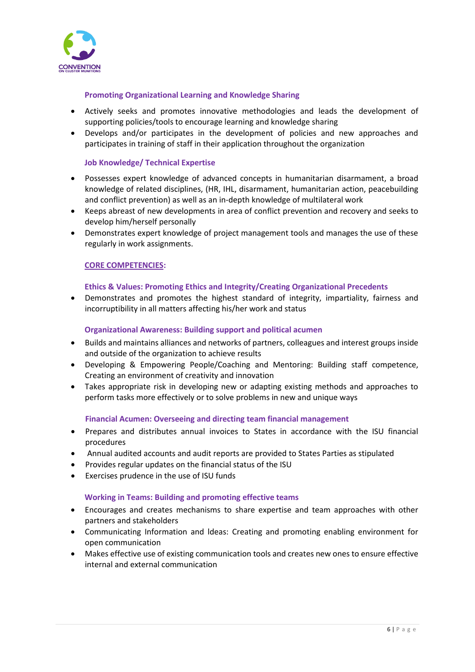

#### **Promoting Organizational Learning and Knowledge Sharing**

- Actively seeks and promotes innovative methodologies and leads the development of supporting policies/tools to encourage learning and knowledge sharing
- Develops and/or participates in the development of policies and new approaches and participates in training of staff in their application throughout the organization

### **Job Knowledge/ Technical Expertise**

- Possesses expert knowledge of advanced concepts in humanitarian disarmament, a broad knowledge of related disciplines, (HR, IHL, disarmament, humanitarian action, peacebuilding and conflict prevention) as well as an in-depth knowledge of multilateral work
- Keeps abreast of new developments in area of conflict prevention and recovery and seeks to develop him/herself personally
- Demonstrates expert knowledge of project management tools and manages the use of these regularly in work assignments.

#### **CORE COMPETENCIES:**

#### **Ethics & Values: Promoting Ethics and Integrity/Creating Organizational Precedents**

• Demonstrates and promotes the highest standard of integrity, impartiality, fairness and incorruptibility in all matters affecting his/her work and status

#### **Organizational Awareness: Building support and political acumen**

- Builds and maintains alliances and networks of partners, colleagues and interest groups inside and outside of the organization to achieve results
- Developing & Empowering People/Coaching and Mentoring: Building staff competence, Creating an environment of creativity and innovation
- Takes appropriate risk in developing new or adapting existing methods and approaches to perform tasks more effectively or to solve problems in new and unique ways

#### **Financial Acumen: Overseeing and directing team financial management**

- Prepares and distributes annual invoices to States in accordance with the ISU financial procedures
- Annual audited accounts and audit reports are provided to States Parties as stipulated
- Provides regular updates on the financial status of the ISU
- Exercises prudence in the use of ISU funds

#### **Working in Teams: Building and promoting effective teams**

- Encourages and creates mechanisms to share expertise and team approaches with other partners and stakeholders
- Communicating Information and ldeas: Creating and promoting enabling environment for open communication
- Makes effective use of existing communication tools and creates new ones to ensure effective internal and external communication